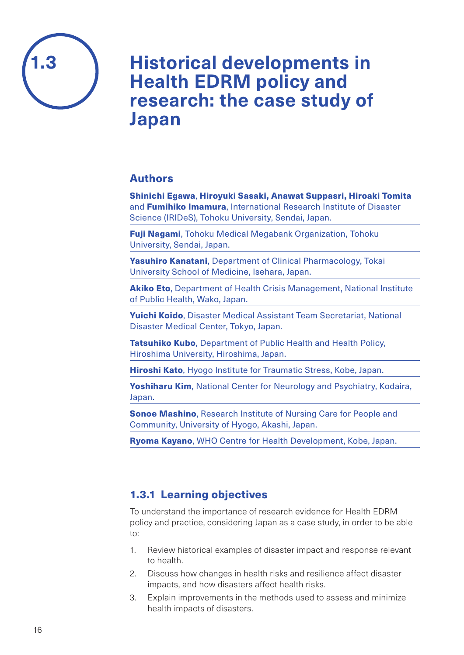

# **Historical developments in Health EDRM policy and research: the case study of Japan**

### Authors

Shinichi Egawa, Hiroyuki Sasaki, Anawat Suppasri, Hiroaki Tomita and **Fumihiko Imamura**, International Research Institute of Disaster Science (IRIDeS), Tohoku University, Sendai, Japan.

Fuji Nagami, Tohoku Medical Megabank Organization, Tohoku University, Sendai, Japan.

Yasuhiro Kanatani, Department of Clinical Pharmacology, Tokai University School of Medicine, Isehara, Japan.

**Akiko Eto, Department of Health Crisis Management, National Institute** of Public Health, Wako, Japan.

Yuichi Koido, Disaster Medical Assistant Team Secretariat, National Disaster Medical Center, Tokyo, Japan.

Tatsuhiko Kubo, Department of Public Health and Health Policy, Hiroshima University, Hiroshima, Japan.

Hiroshi Kato, Hyogo Institute for Traumatic Stress, Kobe, Japan.

Yoshiharu Kim, National Center for Neurology and Psychiatry, Kodaira, Japan.

**Sonoe Mashino**, Research Institute of Nursing Care for People and Community, University of Hyogo, Akashi, Japan.

Ryoma Kayano, WHO Centre for Health Development, Kobe, Japan.

## 1.3.1 Learning objectives

To understand the importance of research evidence for Health EDRM policy and practice, considering Japan as a case study, in order to be able to:

- 1. Review historical examples of disaster impact and response relevant to health.
- 2. Discuss how changes in health risks and resilience affect disaster impacts, and how disasters affect health risks.
- 3. Explain improvements in the methods used to assess and minimize health impacts of disasters.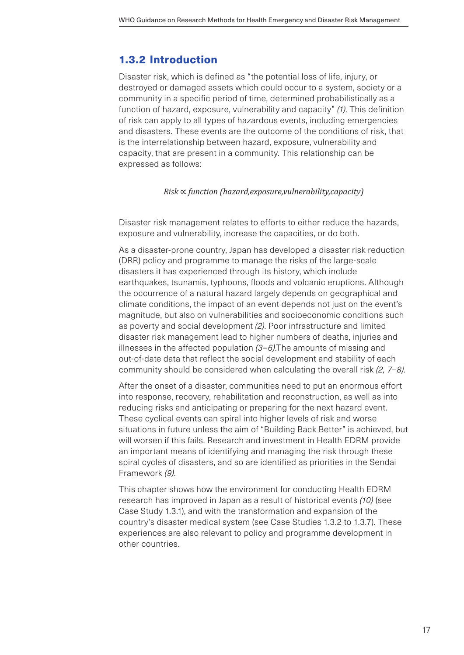### 1.3.2 Introduction

Disaster risk, which is defined as "the potential loss of life, injury, or destroyed or damaged assets which could occur to a system, society or a community in a specific period of time, determined probabilistically as a function of hazard, exposure, vulnerability and capacity" *(1)*. This definition of risk can apply to all types of hazardous events, including emergencies and disasters. These events are the outcome of the conditions of risk, that is the interrelationship between hazard, exposure, vulnerability and capacity, that are present in a community. This relationship can be expressed as follows:

#### *Risk* ∝ *function (hazard,exposure,vulnerability,capacity)*

Disaster risk management relates to efforts to either reduce the hazards, exposure and vulnerability, increase the capacities, or do both.

As a disaster-prone country, Japan has developed a disaster risk reduction (DRR) policy and programme to manage the risks of the large-scale disasters it has experienced through its history, which include earthquakes, tsunamis, typhoons, floods and volcanic eruptions. Although the occurrence of a natural hazard largely depends on geographical and climate conditions, the impact of an event depends not just on the event's magnitude, but also on vulnerabilities and socioeconomic conditions such as poverty and social development *(2)*. Poor infrastructure and limited disaster risk management lead to higher numbers of deaths, injuries and illnesses in the affected population *(3–6)*.The amounts of missing and out-of-date data that reflect the social development and stability of each community should be considered when calculating the overall risk *(2, 7–8)*.

After the onset of a disaster, communities need to put an enormous effort into response, recovery, rehabilitation and reconstruction, as well as into reducing risks and anticipating or preparing for the next hazard event. These cyclical events can spiral into higher levels of risk and worse situations in future unless the aim of "Building Back Better" is achieved, but will worsen if this fails. Research and investment in Health EDRM provide an important means of identifying and managing the risk through these spiral cycles of disasters, and so are identified as priorities in the Sendai Framework *(9)*.

This chapter shows how the environment for conducting Health EDRM research has improved in Japan as a result of historical events *(10)* (see Case Study 1.3.1), and with the transformation and expansion of the country's disaster medical system (see Case Studies 1.3.2 to 1.3.7). These experiences are also relevant to policy and programme development in other countries.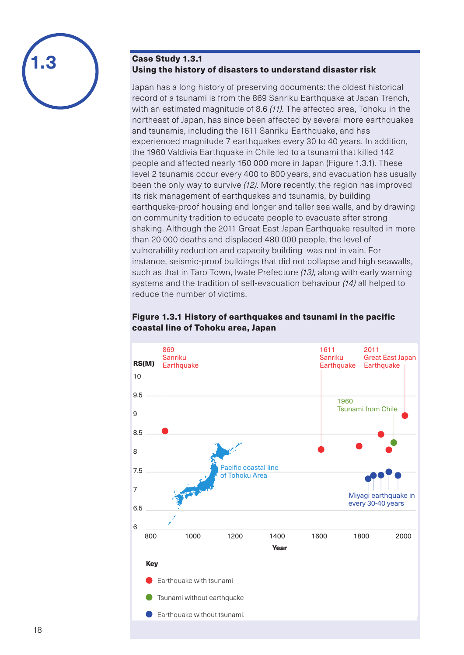

Japan has a long history of preserving documents: the oldest historical record of a tsunami is from the 869 Sanriku Earthquake at Japan Trench, with an estimated magnitude of 8.6 *(11)*. The affected area, Tohoku in the northeast of Japan, has since been affected by several more earthquakes and tsunamis, including the 1611 Sanriku Earthquake, and has experienced magnitude 7 earthquakes every 30 to 40 years. In addition, the 1960 Valdivia Earthquake in Chile led to a tsunami that killed 142 people and affected nearly 150 000 more in Japan (Figure 1.3.1). These level 2 tsunamis occur every 400 to 800 years, and evacuation has usually been the only way to survive *(12)*. More recently, the region has improved its risk management of earthquakes and tsunamis, by building earthquake-proof housing and longer and taller sea walls, and by drawing on community tradition to educate people to evacuate after strong shaking. Although the 2011 Great East Japan Earthquake resulted in more than 20 000 deaths and displaced 480 000 people, the level of vulnerability reduction and capacity building was not in vain. For instance, seismic-proof buildings that did not collapse and high seawalls, such as that in Taro Town, Iwate Prefecture *(13)*, along with early warning systems and the tradition of self-evacuation behaviour *(14)* all helped to reduce the number of victims.



#### Figure 1.3.1 History of earthquakes and tsunami in the pacific coastal line of Tohoku area, Japan

**1.3**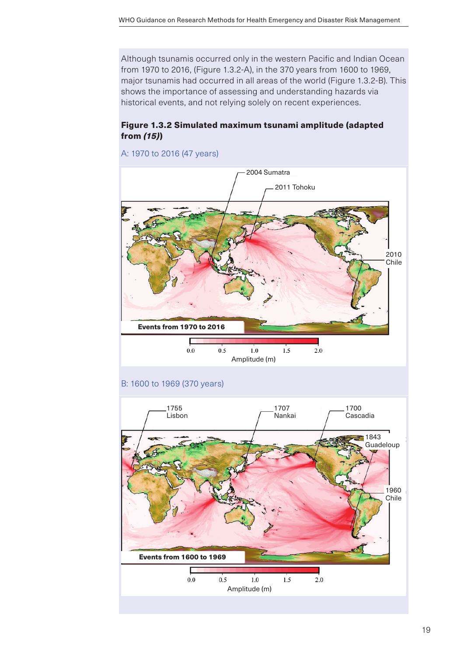Although tsunamis occurred only in the western Pacific and Indian Ocean from 1970 to 2016, (Figure 1.3.2-A), in the 370 years from 1600 to 1969, major tsunamis had occurred in all areas of the world (Figure 1.3.2-B). This shows the importance of assessing and understanding hazards via historical events, and not relying solely on recent experiences.

### Figure 1.3.2 Simulated maximum tsunami amplitude (adapted from *(15)*)



#### A: 1970 to 2016 (47 years)

#### B: 1600 to 1969 (370 years)

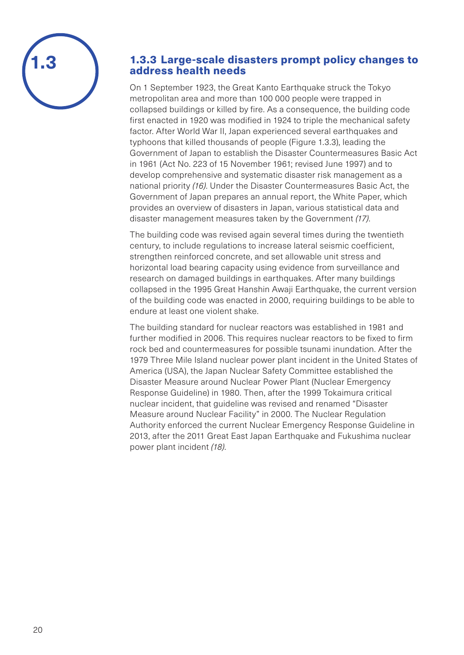

### 1.3.3 Large-scale disasters prompt policy changes to address health needs

On 1 September 1923, the Great Kanto Earthquake struck the Tokyo metropolitan area and more than 100 000 people were trapped in collapsed buildings or killed by fire. As a consequence, the building code first enacted in 1920 was modified in 1924 to triple the mechanical safety factor. After World War II, Japan experienced several earthquakes and typhoons that killed thousands of people (Figure 1.3.3), leading the Government of Japan to establish the Disaster Countermeasures Basic Act in 1961 (Act No. 223 of 15 November 1961; revised June 1997) and to develop comprehensive and systematic disaster risk management as a national priority *(16)*. Under the Disaster Countermeasures Basic Act, the Government of Japan prepares an annual report, the White Paper, which provides an overview of disasters in Japan, various statistical data and disaster management measures taken by the Government *(17)*.

The building code was revised again several times during the twentieth century, to include regulations to increase lateral seismic coefficient, strengthen reinforced concrete, and set allowable unit stress and horizontal load bearing capacity using evidence from surveillance and research on damaged buildings in earthquakes. After many buildings collapsed in the 1995 Great Hanshin Awaji Earthquake, the current version of the building code was enacted in 2000, requiring buildings to be able to endure at least one violent shake.

The building standard for nuclear reactors was established in 1981 and further modified in 2006. This requires nuclear reactors to be fixed to firm rock bed and countermeasures for possible tsunami inundation. After the 1979 Three Mile Island nuclear power plant incident in the United States of America (USA), the Japan Nuclear Safety Committee established the Disaster Measure around Nuclear Power Plant (Nuclear Emergency Response Guideline) in 1980. Then, after the 1999 Tokaimura critical nuclear incident, that guideline was revised and renamed "Disaster Measure around Nuclear Facility" in 2000. The Nuclear Regulation Authority enforced the current Nuclear Emergency Response Guideline in 2013, after the 2011 Great East Japan Earthquake and Fukushima nuclear power plant incident *(18)*.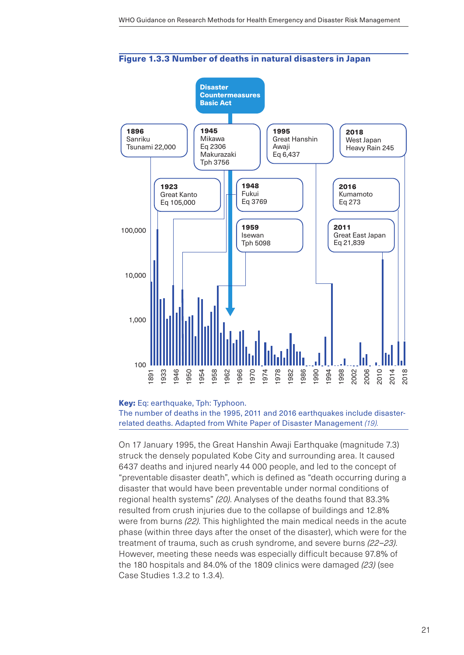

#### Figure 1.3.3 Number of deaths in natural disasters in Japan

#### Key: Eq: earthquake, Tph: Typhoon.

The number of deaths in the 1995, 2011 and 2016 earthquakes include disasterrelated deaths. Adapted from White Paper of Disaster Management *(19).*

On 17 January 1995, the Great Hanshin Awaji Earthquake (magnitude 7.3) struck the densely populated Kobe City and surrounding area. It caused 6437 deaths and injured nearly 44 000 people, and led to the concept of "preventable disaster death", which is defined as "death occurring during a disaster that would have been preventable under normal conditions of regional health systems" *(20)*. Analyses of the deaths found that 83.3% resulted from crush injuries due to the collapse of buildings and 12.8% were from burns *(22)*. This highlighted the main medical needs in the acute phase (within three days after the onset of the disaster), which were for the treatment of trauma, such as crush syndrome, and severe burns *(22–23)*. However, meeting these needs was especially difficult because 97.8% of the 180 hospitals and 84.0% of the 1809 clinics were damaged *(23)* (see Case Studies 1.3.2 to 1.3.4).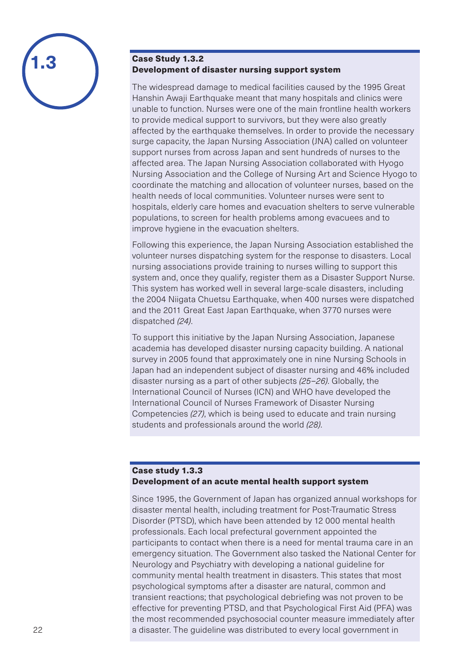

### Case Study 1.3.2 Development of disaster nursing support system

The widespread damage to medical facilities caused by the 1995 Great Hanshin Awaji Earthquake meant that many hospitals and clinics were unable to function. Nurses were one of the main frontline health workers to provide medical support to survivors, but they were also greatly affected by the earthquake themselves. In order to provide the necessary surge capacity, the Japan Nursing Association (JNA) called on volunteer support nurses from across Japan and sent hundreds of nurses to the affected area. The Japan Nursing Association collaborated with Hyogo Nursing Association and the College of Nursing Art and Science Hyogo to coordinate the matching and allocation of volunteer nurses, based on the health needs of local communities. Volunteer nurses were sent to hospitals, elderly care homes and evacuation shelters to serve vulnerable populations, to screen for health problems among evacuees and to improve hygiene in the evacuation shelters.

Following this experience, the Japan Nursing Association established the volunteer nurses dispatching system for the response to disasters. Local nursing associations provide training to nurses willing to support this system and, once they qualify, register them as a Disaster Support Nurse. This system has worked well in several large-scale disasters, including the 2004 Niigata Chuetsu Earthquake, when 400 nurses were dispatched and the 2011 Great East Japan Earthquake, when 3770 nurses were dispatched *(24)*.

To support this initiative by the Japan Nursing Association, Japanese academia has developed disaster nursing capacity building. A national survey in 2005 found that approximately one in nine Nursing Schools in Japan had an independent subject of disaster nursing and 46% included disaster nursing as a part of other subjects *(25–26)*. Globally, the International Council of Nurses (ICN) and WHO have developed the International Council of Nurses Framework of Disaster Nursing Competencies *(27)*, which is being used to educate and train nursing students and professionals around the world *(28)*.

### Case study 1.3.3 Development of an acute mental health support system

Since 1995, the Government of Japan has organized annual workshops for disaster mental health, including treatment for Post-Traumatic Stress Disorder (PTSD), which have been attended by 12 000 mental health professionals. Each local prefectural government appointed the participants to contact when there is a need for mental trauma care in an emergency situation. The Government also tasked the National Center for Neurology and Psychiatry with developing a national guideline for community mental health treatment in disasters. This states that most psychological symptoms after a disaster are natural, common and transient reactions; that psychological debriefing was not proven to be effective for preventing PTSD, and that Psychological First Aid (PFA) was the most recommended psychosocial counter measure immediately after a disaster. The guideline was distributed to every local government in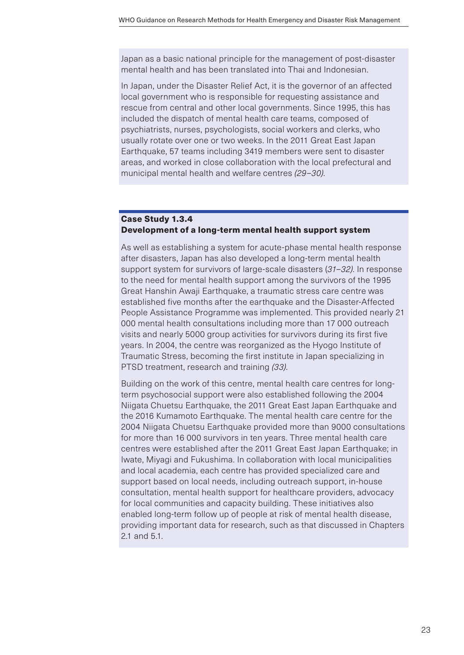Japan as a basic national principle for the management of post-disaster mental health and has been translated into Thai and Indonesian.

In Japan, under the Disaster Relief Act, it is the governor of an affected local government who is responsible for requesting assistance and rescue from central and other local governments. Since 1995, this has included the dispatch of mental health care teams, composed of psychiatrists, nurses, psychologists, social workers and clerks, who usually rotate over one or two weeks. In the 2011 Great East Japan Earthquake, 57 teams including 3419 members were sent to disaster areas, and worked in close collaboration with the local prefectural and municipal mental health and welfare centres *(29–30)*.

#### Case Study 1.3.4 Development of a long-term mental health support system

As well as establishing a system for acute-phase mental health response after disasters, Japan has also developed a long-term mental health support system for survivors of large-scale disasters (*31–32)*. In response to the need for mental health support among the survivors of the 1995 Great Hanshin Awaji Earthquake, a traumatic stress care centre was established five months after the earthquake and the Disaster-Affected People Assistance Programme was implemented. This provided nearly 21 000 mental health consultations including more than 17 000 outreach visits and nearly 5000 group activities for survivors during its first five years. In 2004, the centre was reorganized as the Hyogo Institute of Traumatic Stress, becoming the first institute in Japan specializing in PTSD treatment, research and training *(33)*.

Building on the work of this centre, mental health care centres for longterm psychosocial support were also established following the 2004 Niigata Chuetsu Earthquake, the 2011 Great East Japan Earthquake and the 2016 Kumamoto Earthquake. The mental health care centre for the 2004 Niigata Chuetsu Earthquake provided more than 9000 consultations for more than 16 000 survivors in ten years. Three mental health care centres were established after the 2011 Great East Japan Earthquake; in Iwate, Miyagi and Fukushima. In collaboration with local municipalities and local academia, each centre has provided specialized care and support based on local needs, including outreach support, in-house consultation, mental health support for healthcare providers, advocacy for local communities and capacity building. These initiatives also enabled long-term follow up of people at risk of mental health disease, providing important data for research, such as that discussed in Chapters 2.1 and 5.1.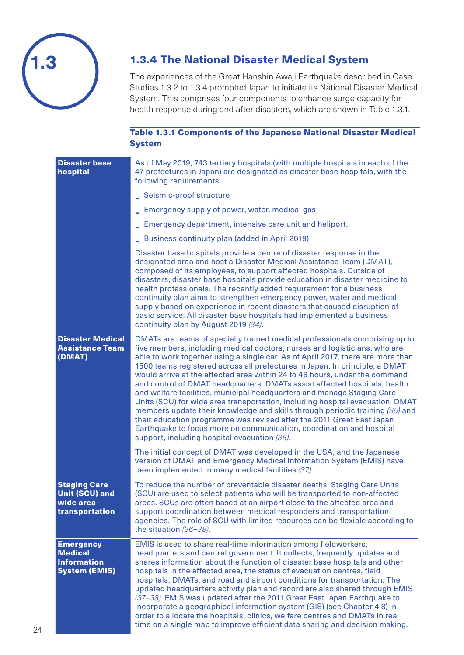

# 1.3.4 The National Disaster Medical System

The experiences of the Great Hanshin Awaji Earthquake described in Case Studies 1.3.2 to 1.3.4 prompted Japan to initiate its National Disaster Medical System. This comprises four components to enhance surge capacity for health response during and after disasters, which are shown in Table 1.3.1.

### Table 1.3.1 Components of the Japanese National Disaster Medical **System**

| <b>Disaster base</b><br>hospital                                                 | As of May 2019, 743 tertiary hospitals (with multiple hospitals in each of the<br>47 prefectures in Japan) are designated as disaster base hospitals, with the<br>following requirements:                                                                                                                                                                                                                                                                                                                                                                                                                                                                                                                                                                                                                                                                                                                                         |
|----------------------------------------------------------------------------------|-----------------------------------------------------------------------------------------------------------------------------------------------------------------------------------------------------------------------------------------------------------------------------------------------------------------------------------------------------------------------------------------------------------------------------------------------------------------------------------------------------------------------------------------------------------------------------------------------------------------------------------------------------------------------------------------------------------------------------------------------------------------------------------------------------------------------------------------------------------------------------------------------------------------------------------|
|                                                                                  | Seismic-proof structure                                                                                                                                                                                                                                                                                                                                                                                                                                                                                                                                                                                                                                                                                                                                                                                                                                                                                                           |
|                                                                                  | Emergency supply of power, water, medical gas                                                                                                                                                                                                                                                                                                                                                                                                                                                                                                                                                                                                                                                                                                                                                                                                                                                                                     |
|                                                                                  | Emergency department, intensive care unit and heliport.                                                                                                                                                                                                                                                                                                                                                                                                                                                                                                                                                                                                                                                                                                                                                                                                                                                                           |
|                                                                                  | Business continuity plan (added in April 2019)                                                                                                                                                                                                                                                                                                                                                                                                                                                                                                                                                                                                                                                                                                                                                                                                                                                                                    |
|                                                                                  | Disaster base hospitals provide a centre of disaster response in the<br>designated area and host a Disaster Medical Assistance Team (DMAT),<br>composed of its employees, to support affected hospitals. Outside of<br>disasters, disaster base hospitals provide education in disaster medicine to<br>health professionals. The recently added requirement for a business<br>continuity plan aims to strengthen emergency power, water and medical<br>supply based on experience in recent disasters that caused disruption of<br>basic service. All disaster base hospitals had implemented a business<br>continuity plan by August 2019 (34).                                                                                                                                                                                                                                                                                  |
| <b>Disaster Medical</b><br><b>Assistance Team</b><br>(DMAT)                      | DMATs are teams of specially trained medical professionals comprising up to<br>five members, including medical doctors, nurses and logisticians, who are<br>able to work together using a single car. As of April 2017, there are more than<br>1500 teams registered across all prefectures in Japan. In principle, a DMAT<br>would arrive at the affected area within 24 to 48 hours, under the command<br>and control of DMAT headquarters. DMATs assist affected hospitals, health<br>and welfare facilities, municipal headquarters and manage Staging Care<br>Units (SCU) for wide area transportation, including hospital evacuation. DMAT<br>members update their knowledge and skills through periodic training (35) and<br>their education programme was revised after the 2011 Great East Japan<br>Earthquake to focus more on communication, coordination and hospital<br>support, including hospital evacuation (36). |
|                                                                                  | The initial concept of DMAT was developed in the USA, and the Japanese<br>version of DMAT and Emergency Medical Information System (EMIS) have<br>been implemented in many medical facilities (37).                                                                                                                                                                                                                                                                                                                                                                                                                                                                                                                                                                                                                                                                                                                               |
| <b>Staging Care</b><br><b>Unit (SCU) and</b><br>wide area<br>transportation      | To reduce the number of preventable disaster deaths, Staging Care Units<br>(SCU) are used to select patients who will be transported to non-affected<br>areas. SCUs are often based at an airport close to the affected area and<br>support coordination between medical responders and transportation<br>agencies. The role of SCU with limited resources can be flexible according to<br>the situation (36-38).                                                                                                                                                                                                                                                                                                                                                                                                                                                                                                                 |
| <b>Emergency</b><br><b>Medical</b><br><b>Information</b><br><b>System (EMIS)</b> | EMIS is used to share real-time information among fieldworkers,<br>headquarters and central government. It collects, frequently updates and<br>shares information about the function of disaster base hospitals and other<br>hospitals in the affected area, the status of evacuation centres, field<br>hospitals, DMATs, and road and airport conditions for transportation. The<br>updated headquarters activity plan and record are also shared through EMIS<br>(37-38). EMIS was updated after the 2011 Great East Japan Earthquake to<br>incorporate a geographical information system (GIS) (see Chapter 4.8) in<br>order to allocate the hospitals, clinics, welfare centres and DMATs in real<br>time on a single map to improve efficient data sharing and decision making.                                                                                                                                              |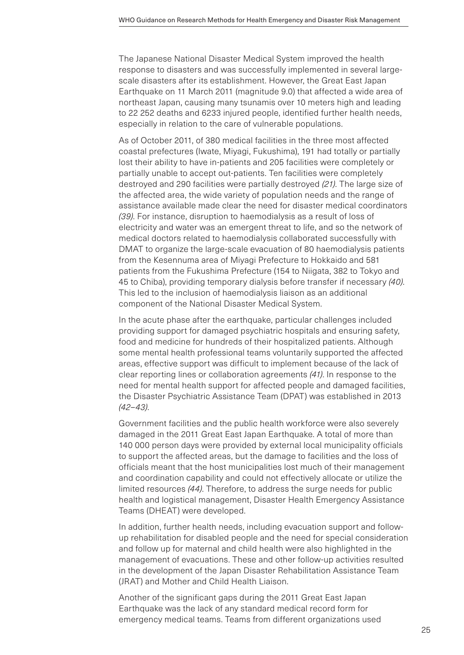The Japanese National Disaster Medical System improved the health response to disasters and was successfully implemented in several largescale disasters after its establishment. However, the Great East Japan Earthquake on 11 March 2011 (magnitude 9.0) that affected a wide area of northeast Japan, causing many tsunamis over 10 meters high and leading to 22 252 deaths and 6233 injured people, identified further health needs, especially in relation to the care of vulnerable populations.

As of October 2011, of 380 medical facilities in the three most affected coastal prefectures (Iwate, Miyagi, Fukushima), 191 had totally or partially lost their ability to have in-patients and 205 facilities were completely or partially unable to accept out-patients. Ten facilities were completely destroyed and 290 facilities were partially destroyed *(21)*. The large size of the affected area, the wide variety of population needs and the range of assistance available made clear the need for disaster medical coordinators *(39)*. For instance, disruption to haemodialysis as a result of loss of electricity and water was an emergent threat to life, and so the network of medical doctors related to haemodialysis collaborated successfully with DMAT to organize the large-scale evacuation of 80 haemodialysis patients from the Kesennuma area of Miyagi Prefecture to Hokkaido and 581 patients from the Fukushima Prefecture (154 to Niigata, 382 to Tokyo and 45 to Chiba), providing temporary dialysis before transfer if necessary *(40)*. This led to the inclusion of haemodialysis liaison as an additional component of the National Disaster Medical System.

In the acute phase after the earthquake, particular challenges included providing support for damaged psychiatric hospitals and ensuring safety, food and medicine for hundreds of their hospitalized patients. Although some mental health professional teams voluntarily supported the affected areas, effective support was difficult to implement because of the lack of clear reporting lines or collaboration agreements *(41)*. In response to the need for mental health support for affected people and damaged facilities, the Disaster Psychiatric Assistance Team (DPAT) was established in 2013 *(42–43)*.

Government facilities and the public health workforce were also severely damaged in the 2011 Great East Japan Earthquake. A total of more than 140 000 person days were provided by external local municipality officials to support the affected areas, but the damage to facilities and the loss of officials meant that the host municipalities lost much of their management and coordination capability and could not effectively allocate or utilize the limited resources *(44)*. Therefore, to address the surge needs for public health and logistical management, Disaster Health Emergency Assistance Teams (DHEAT) were developed.

In addition, further health needs, including evacuation support and followup rehabilitation for disabled people and the need for special consideration and follow up for maternal and child health were also highlighted in the management of evacuations. These and other follow-up activities resulted in the development of the Japan Disaster Rehabilitation Assistance Team (JRAT) and Mother and Child Health Liaison.

Another of the significant gaps during the 2011 Great East Japan Earthquake was the lack of any standard medical record form for emergency medical teams. Teams from different organizations used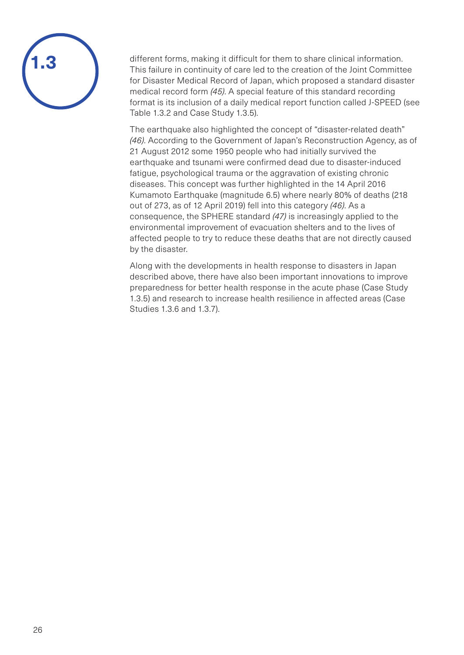

different forms, making it difficult for them to share clinical information. This failure in continuity of care led to the creation of the Joint Committee for Disaster Medical Record of Japan, which proposed a standard disaster medical record form *(45)*. A special feature of this standard recording format is its inclusion of a daily medical report function called J-SPEED (see Table 1.3.2 and Case Study 1.3.5).

The earthquake also highlighted the concept of "disaster-related death" *(46)*. According to the Government of Japan's Reconstruction Agency, as of 21 August 2012 some 1950 people who had initially survived the earthquake and tsunami were confirmed dead due to disaster-induced fatigue, psychological trauma or the aggravation of existing chronic diseases. This concept was further highlighted in the 14 April 2016 Kumamoto Earthquake (magnitude 6.5) where nearly 80% of deaths (218 out of 273, as of 12 April 2019) fell into this category *(46)*. As a consequence, the SPHERE standard *(47)* is increasingly applied to the environmental improvement of evacuation shelters and to the lives of affected people to try to reduce these deaths that are not directly caused by the disaster.

Along with the developments in health response to disasters in Japan described above, there have also been important innovations to improve preparedness for better health response in the acute phase (Case Study 1.3.5) and research to increase health resilience in affected areas (Case Studies 1.3.6 and 1.3.7).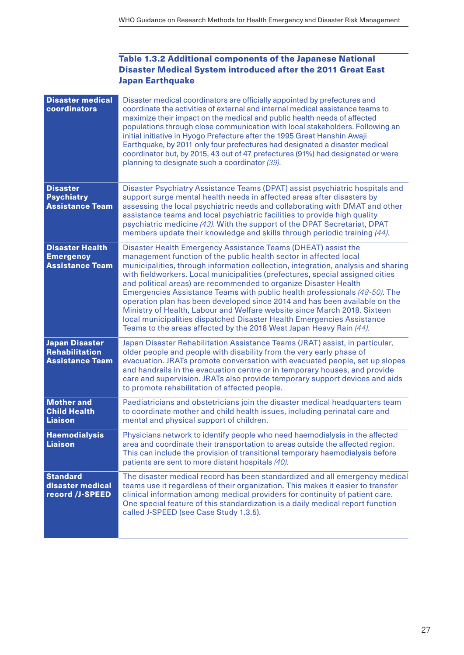### Table 1.3.2 Additional components of the Japanese National Disaster Medical System introduced after the 2011 Great East Japan Earthquake

| <b>Disaster medical</b><br>coordinators                              | Disaster medical coordinators are officially appointed by prefectures and<br>coordinate the activities of external and internal medical assistance teams to<br>maximize their impact on the medical and public health needs of affected<br>populations through close communication with local stakeholders. Following an<br>initial initiative in Hyogo Prefecture after the 1995 Great Hanshin Awaji<br>Earthquake, by 2011 only four prefectures had designated a disaster medical<br>coordinator but, by 2015, 43 out of 47 prefectures (91%) had designated or were<br>planning to designate such a coordinator (39).                                                                                                                                             |
|----------------------------------------------------------------------|-----------------------------------------------------------------------------------------------------------------------------------------------------------------------------------------------------------------------------------------------------------------------------------------------------------------------------------------------------------------------------------------------------------------------------------------------------------------------------------------------------------------------------------------------------------------------------------------------------------------------------------------------------------------------------------------------------------------------------------------------------------------------|
| <b>Disaster</b><br><b>Psychiatry</b><br><b>Assistance Team</b>       | Disaster Psychiatry Assistance Teams (DPAT) assist psychiatric hospitals and<br>support surge mental health needs in affected areas after disasters by<br>assessing the local psychiatric needs and collaborating with DMAT and other<br>assistance teams and local psychiatric facilities to provide high quality<br>psychiatric medicine (43). With the support of the DPAT Secretariat, DPAT<br>members update their knowledge and skills through periodic training (44).                                                                                                                                                                                                                                                                                          |
| <b>Disaster Health</b><br><b>Emergency</b><br><b>Assistance Team</b> | Disaster Health Emergency Assistance Teams (DHEAT) assist the<br>management function of the public health sector in affected local<br>municipalities, through information collection, integration, analysis and sharing<br>with fieldworkers. Local municipalities (prefectures, special assigned cities<br>and political areas) are recommended to organize Disaster Health<br>Emergencies Assistance Teams with public health professionals (48-50). The<br>operation plan has been developed since 2014 and has been available on the<br>Ministry of Health, Labour and Welfare website since March 2018. Sixteen<br>local municipalities dispatched Disaster Health Emergencies Assistance<br>Teams to the areas affected by the 2018 West Japan Heavy Rain (44). |
| <b>Japan Disaster</b><br>Rehabilitation<br><b>Assistance Team</b>    | Japan Disaster Rehabilitation Assistance Teams (JRAT) assist, in particular,<br>older people and people with disability from the very early phase of<br>evacuation. JRATs promote conversation with evacuated people, set up slopes<br>and handrails in the evacuation centre or in temporary houses, and provide<br>care and supervision. JRATs also provide temporary support devices and aids<br>to promote rehabilitation of affected people.                                                                                                                                                                                                                                                                                                                     |
| <b>Mother and</b><br><b>Child Health</b><br><b>Liaison</b>           | Paediatricians and obstetricians join the disaster medical headquarters team<br>to coordinate mother and child health issues, including perinatal care and<br>mental and physical support of children.                                                                                                                                                                                                                                                                                                                                                                                                                                                                                                                                                                |
| <b>Haemodialysis</b><br><b>Liaison</b>                               | Physicians network to identify people who need haemodialysis in the affected<br>area and coordinate their transportation to areas outside the affected region.<br>This can include the provision of transitional temporary haemodialysis before<br>patients are sent to more distant hospitals (40).                                                                                                                                                                                                                                                                                                                                                                                                                                                                  |
| <b>Standard</b><br>disaster medical<br>record /J-SPEED               | The disaster medical record has been standardized and all emergency medical<br>teams use it regardless of their organization. This makes it easier to transfer<br>clinical information among medical providers for continuity of patient care.<br>One special feature of this standardization is a daily medical report function<br>called J-SPEED (see Case Study 1.3.5).                                                                                                                                                                                                                                                                                                                                                                                            |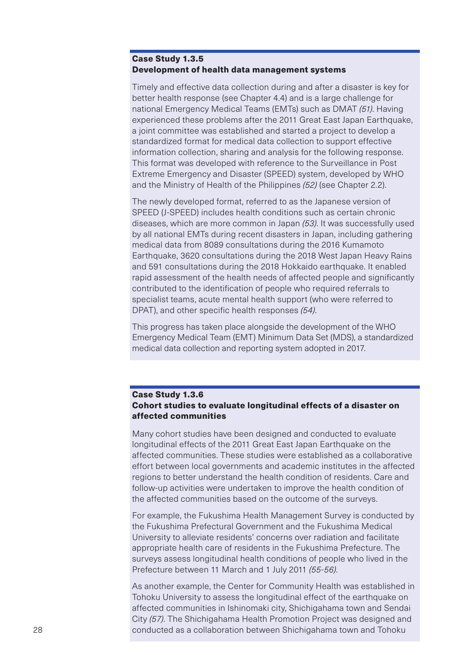#### Case Study 1.3.5 Development of health data management systems

Timely and effective data collection during and after a disaster is key for better health response (see Chapter 4.4) and is a large challenge for national Emergency Medical Teams (EMTs) such as DMAT *(51)*. Having experienced these problems after the 2011 Great East Japan Earthquake, a joint committee was established and started a project to develop a standardized format for medical data collection to support effective information collection, sharing and analysis for the following response. This format was developed with reference to the Surveillance in Post Extreme Emergency and Disaster (SPEED) system, developed by WHO and the Ministry of Health of the Philippines *(52)* (see Chapter 2.2).

The newly developed format, referred to as the Japanese version of SPEED (J-SPEED) includes health conditions such as certain chronic diseases, which are more common in Japan *(53)*. It was successfully used by all national EMTs during recent disasters in Japan, including gathering medical data from 8089 consultations during the 2016 Kumamoto Earthquake, 3620 consultations during the 2018 West Japan Heavy Rains and 591 consultations during the 2018 Hokkaido earthquake. It enabled rapid assessment of the health needs of affected people and significantly contributed to the identification of people who required referrals to specialist teams, acute mental health support (who were referred to DPAT), and other specific health responses *(54)*.

This progress has taken place alongside the development of the WHO Emergency Medical Team (EMT) Minimum Data Set (MDS), a standardized medical data collection and reporting system adopted in 2017.

### Case Study 1.3.6 Cohort studies to evaluate longitudinal effects of a disaster on affected communities

Many cohort studies have been designed and conducted to evaluate longitudinal effects of the 2011 Great East Japan Earthquake on the affected communities. These studies were established as a collaborative effort between local governments and academic institutes in the affected regions to better understand the health condition of residents. Care and follow-up activities were undertaken to improve the health condition of the affected communities based on the outcome of the surveys.

For example, the Fukushima Health Management Survey is conducted by the Fukushima Prefectural Government and the Fukushima Medical University to alleviate residents' concerns over radiation and facilitate appropriate health care of residents in the Fukushima Prefecture. The surveys assess longitudinal health conditions of people who lived in the Prefecture between 11 March and 1 July 2011 *(55-56)*.

As another example, the Center for Community Health was established in Tohoku University to assess the longitudinal effect of the earthquake on affected communities in Ishinomaki city, Shichigahama town and Sendai City *(57)*. The Shichigahama Health Promotion Project was designed and conducted as a collaboration between Shichigahama town and Tohoku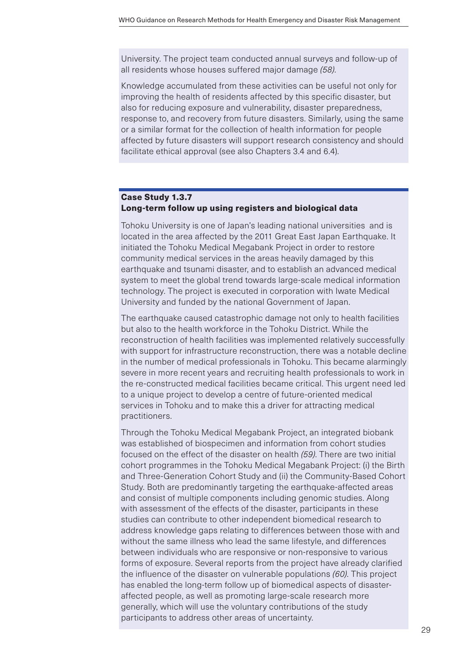University. The project team conducted annual surveys and follow-up of all residents whose houses suffered major damage *(58)*.

Knowledge accumulated from these activities can be useful not only for improving the health of residents affected by this specific disaster, but also for reducing exposure and vulnerability, disaster preparedness, response to, and recovery from future disasters. Similarly, using the same or a similar format for the collection of health information for people affected by future disasters will support research consistency and should facilitate ethical approval (see also Chapters 3.4 and 6.4).

### Case Study 1.3.7 Long-term follow up using registers and biological data

Tohoku University is one of Japan's leading national universities and is located in the area affected by the 2011 Great East Japan Earthquake. It initiated the Tohoku Medical Megabank Project in order to restore community medical services in the areas heavily damaged by this earthquake and tsunami disaster, and to establish an advanced medical system to meet the global trend towards large-scale medical information technology. The project is executed in corporation with Iwate Medical University and funded by the national Government of Japan.

The earthquake caused catastrophic damage not only to health facilities but also to the health workforce in the Tohoku District. While the reconstruction of health facilities was implemented relatively successfully with support for infrastructure reconstruction, there was a notable decline in the number of medical professionals in Tohoku. This became alarmingly severe in more recent years and recruiting health professionals to work in the re-constructed medical facilities became critical. This urgent need led to a unique project to develop a centre of future-oriented medical services in Tohoku and to make this a driver for attracting medical practitioners.

Through the Tohoku Medical Megabank Project, an integrated biobank was established of biospecimen and information from cohort studies focused on the effect of the disaster on health *(59)*. There are two initial cohort programmes in the Tohoku Medical Megabank Project: (i) the Birth and Three-Generation Cohort Study and (ii) the Community-Based Cohort Study. Both are predominantly targeting the earthquake-affected areas and consist of multiple components including genomic studies. Along with assessment of the effects of the disaster, participants in these studies can contribute to other independent biomedical research to address knowledge gaps relating to differences between those with and without the same illness who lead the same lifestyle, and differences between individuals who are responsive or non-responsive to various forms of exposure. Several reports from the project have already clarified the influence of the disaster on vulnerable populations *(60)*. This project has enabled the long-term follow up of biomedical aspects of disasteraffected people, as well as promoting large-scale research more generally, which will use the voluntary contributions of the study participants to address other areas of uncertainty.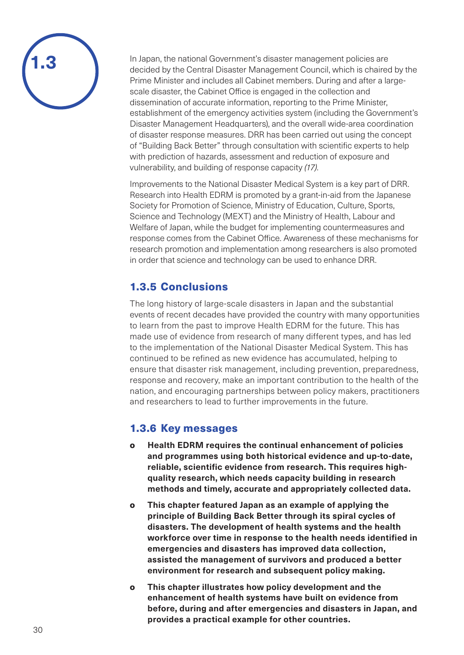

In Japan, the national Government's disaster management policies are decided by the Central Disaster Management Council, which is chaired by the Prime Minister and includes all Cabinet members. During and after a largescale disaster, the Cabinet Office is engaged in the collection and dissemination of accurate information, reporting to the Prime Minister, establishment of the emergency activities system (including the Government's Disaster Management Headquarters), and the overall wide-area coordination of disaster response measures. DRR has been carried out using the concept of "Building Back Better" through consultation with scientific experts to help with prediction of hazards, assessment and reduction of exposure and vulnerability, and building of response capacity *(17)*.

Improvements to the National Disaster Medical System is a key part of DRR. Research into Health EDRM is promoted by a grant-in-aid from the Japanese Society for Promotion of Science, Ministry of Education, Culture, Sports, Science and Technology (MEXT) and the Ministry of Health, Labour and Welfare of Japan, while the budget for implementing countermeasures and response comes from the Cabinet Office. Awareness of these mechanisms for research promotion and implementation among researchers is also promoted in order that science and technology can be used to enhance DRR.

# 1.3.5 Conclusions

The long history of large-scale disasters in Japan and the substantial events of recent decades have provided the country with many opportunities to learn from the past to improve Health EDRM for the future. This has made use of evidence from research of many different types, and has led to the implementation of the National Disaster Medical System. This has continued to be refined as new evidence has accumulated, helping to ensure that disaster risk management, including prevention, preparedness, response and recovery, make an important contribution to the health of the nation, and encouraging partnerships between policy makers, practitioners and researchers to lead to further improvements in the future.

### 1.3.6 Key messages

- o **Health EDRM requires the continual enhancement of policies and programmes using both historical evidence and up-to-date, reliable, scientific evidence from research. This requires highquality research, which needs capacity building in research methods and timely, accurate and appropriately collected data.**
- o **This chapter featured Japan as an example of applying the principle of Building Back Better through its spiral cycles of disasters. The development of health systems and the health workforce over time in response to the health needs identified in emergencies and disasters has improved data collection, assisted the management of survivors and produced a better environment for research and subsequent policy making.**
- o **This chapter illustrates how policy development and the enhancement of health systems have built on evidence from before, during and after emergencies and disasters in Japan, and provides a practical example for other countries.**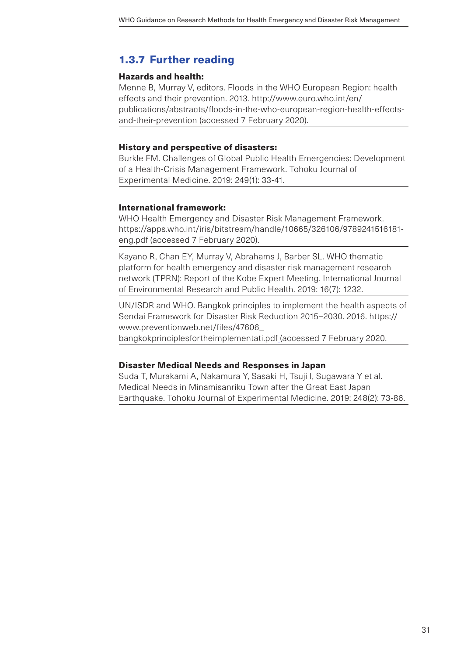# 1.3.7 Further reading

### Hazards and health:

Menne B, Murray V, editors. Floods in the WHO European Region: health effects and their prevention. 2013. [http://www.euro.who.int/en/](http://www.euro.who.int/en/publications/abstracts/floods-in-the-who-european-region-health-effects-and-their-prevention) [publications/abstracts/floods-in-the-who-european-region-health-effects](http://www.euro.who.int/en/publications/abstracts/floods-in-the-who-european-region-health-effects-and-their-prevention)[and-their-prevention](http://www.euro.who.int/en/publications/abstracts/floods-in-the-who-european-region-health-effects-and-their-prevention) (accessed 7 February 2020).

### History and perspective of disasters:

Burkle FM. Challenges of Global Public Health Emergencies: Development of a Health-Crisis Management Framework. Tohoku Journal of Experimental Medicine. 2019: 249(1): 33-41.

### International framework:

WHO Health Emergency and Disaster Risk Management Framework. [https://apps.who.int/iris/bitstream/handle/10665/326106/9789241516181](https://apps.who.int/iris/bitstream/handle/10665/326106/9789241516181-eng.pdf) [eng.pdf](https://apps.who.int/iris/bitstream/handle/10665/326106/9789241516181-eng.pdf) (accessed 7 February 2020).

Kayano R, Chan EY, Murray V, Abrahams J, Barber SL. WHO thematic platform for health emergency and disaster risk management research network (TPRN): Report of the Kobe Expert Meeting. International Journal of Environmental Research and Public Health. 2019: 16(7): 1232.

UN/ISDR and WHO. Bangkok principles to implement the health aspects of Sendai Framework for Disaster Risk Reduction 2015–2030. 2016. [https://](https://www.preventionweb.net/files/47606_bangkokprinciplesfortheimplementati.pdf) [www.preventionweb.net/files/47606\\_](https://www.preventionweb.net/files/47606_bangkokprinciplesfortheimplementati.pdf)

[bangkokprinciplesfortheimplementati.pdf](https://www.preventionweb.net/files/47606_bangkokprinciplesfortheimplementati.pdf) (accessed 7 February 2020.

### Disaster Medical Needs and Responses in Japan

Suda T, Murakami A, Nakamura Y, Sasaki H, Tsuji I, Sugawara Y et al. Medical Needs in Minamisanriku Town after the Great East Japan Earthquake. Tohoku Journal of Experimental Medicine. 2019: 248(2): 73-86.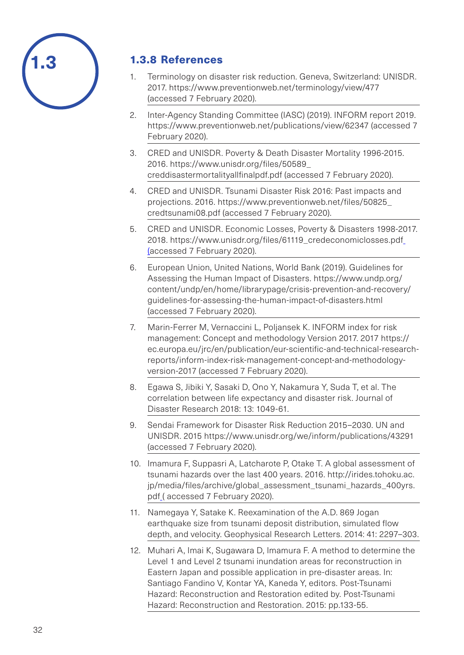

# 1.3.8 References

- 1. Terminology on disaster risk reduction. Geneva, Switzerland: UNISDR. 2017. <https://www.preventionweb.net/terminology/view/477> (accessed 7 February 2020).
- 2. Inter-Agency Standing Committee (IASC) (2019). INFORM report 2019. <https://www.preventionweb.net/publications/view/62347> (accessed 7 February 2020).
- 3. CRED and UNISDR. Poverty & Death Disaster Mortality 1996-2015. 2016. [https://www.unisdr.org/files/50589\\_](https://www.unisdr.org/files/50589_creddisastermortalityallfinalpdf.pdf) [creddisastermortalityallfinalpdf.pdf](https://www.unisdr.org/files/50589_creddisastermortalityallfinalpdf.pdf) (accessed 7 February 2020).
- 4. CRED and UNISDR. Tsunami Disaster Risk 2016: Past impacts and projections. 2016. [https://www.preventionweb.net/files/50825\\_](https://www.preventionweb.net/files/50825_credtsunami08.pdf) [credtsunami08.pdf](https://www.preventionweb.net/files/50825_credtsunami08.pdf) (accessed 7 February 2020).
- 5. CRED and UNISDR. Economic Losses, Poverty & Disasters 1998-2017. 2018. [https://www.unisdr.org/files/61119\\_credeconomiclosses.pdf](https://www.unisdr.org/files/61119_credeconomiclosses.pdf) (accessed 7 February 2020).
- 6. European Union, United Nations, World Bank (2019). Guidelines for Assessing the Human Impact of Disasters. [https://www.undp.org/](https://www.undp.org/content/undp/en/home/librarypage/crisis-prevention-and-recovery/guidelines-for-assessing-the-human-impact-of-disasters.html) [content/undp/en/home/librarypage/crisis-prevention-and-recovery/](https://www.undp.org/content/undp/en/home/librarypage/crisis-prevention-and-recovery/guidelines-for-assessing-the-human-impact-of-disasters.html) [guidelines-for-assessing-the-human-impact-of-disasters.html](https://www.undp.org/content/undp/en/home/librarypage/crisis-prevention-and-recovery/guidelines-for-assessing-the-human-impact-of-disasters.html) (accessed 7 February 2020).
- 7. Marin-Ferrer M, Vernaccini L, Poljansek K. INFORM index for risk management: Concept and methodology Version 2017. 2017 [https://](https://ec.europa.eu/jrc/en/publication/eur-scientific-and-technical-research-reports/inform-index-risk-management-concept-and-methodology-version-2017) [ec.europa.eu/jrc/en/publication/eur-scientific-and-technical-research](https://ec.europa.eu/jrc/en/publication/eur-scientific-and-technical-research-reports/inform-index-risk-management-concept-and-methodology-version-2017)[reports/inform-index-risk-management-concept-and-methodology](https://ec.europa.eu/jrc/en/publication/eur-scientific-and-technical-research-reports/inform-index-risk-management-concept-and-methodology-version-2017)[version-2017](https://ec.europa.eu/jrc/en/publication/eur-scientific-and-technical-research-reports/inform-index-risk-management-concept-and-methodology-version-2017) (accessed 7 February 2020).
- 8. Egawa S, Jibiki Y, Sasaki D, Ono Y, Nakamura Y, Suda T, et al. The correlation between life expectancy and disaster risk. Journal of Disaster Research 2018: 13: 1049-61.
- 9. Sendai Framework for Disaster Risk Reduction 2015–2030. UN and UNISDR. 2015 <https://www.unisdr.org/we/inform/publications/43291> (accessed 7 February 2020).
- 10. Imamura F, Suppasri A, Latcharote P, Otake T. A global assessment of tsunami hazards over the last 400 years. 2016. [http://irides.tohoku.ac.](http://irides.tohoku.ac.jp/media/files/archive/global_assessment_tsunami_hazards_400yrs.pdf) [jp/media/files/archive/global\\_assessment\\_tsunami\\_hazards\\_400yrs.](http://irides.tohoku.ac.jp/media/files/archive/global_assessment_tsunami_hazards_400yrs.pdf) [pdf](http://irides.tohoku.ac.jp/media/files/archive/global_assessment_tsunami_hazards_400yrs.pdf) (accessed 7 February 2020).
- 11. Namegaya Y, Satake K. Reexamination of the A.D. 869 Jogan earthquake size from tsunami deposit distribution, simulated flow depth, and velocity. Geophysical Research Letters. 2014: 41: 2297–303.
- 12. Muhari A, Imai K, Sugawara D, Imamura F. A method to determine the Level 1 and Level 2 tsunami inundation areas for reconstruction in Eastern Japan and possible application in pre-disaster areas. In: Santiago Fandino V, Kontar YA, Kaneda Y, editors. Post-Tsunami Hazard: Reconstruction and Restoration edited by. Post-Tsunami Hazard: Reconstruction and Restoration. 2015: pp.133-55.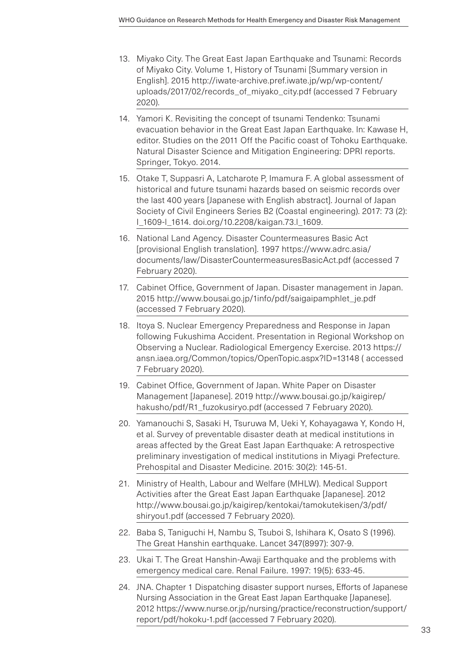- 13. Miyako City. The Great East Japan Earthquake and Tsunami: Records of Miyako City. Volume 1, History of Tsunami [Summary version in English]. 2015 [http://iwate-archive.pref.iwate.jp/wp/wp-content/](http://iwate-archive.pref.iwate.jp/wp/wp-content/uploads/2017/02/records_of_miyako_city.pdf) [uploads/2017/02/records\\_of\\_miyako\\_city.pdf](http://iwate-archive.pref.iwate.jp/wp/wp-content/uploads/2017/02/records_of_miyako_city.pdf) (accessed 7 February 2020).
- 14. Yamori K. Revisiting the concept of tsunami Tendenko: Tsunami evacuation behavior in the Great East Japan Earthquake. In: Kawase H, editor. Studies on the 2011 Off the Pacific coast of Tohoku Earthquake. Natural Disaster Science and Mitigation Engineering: DPRI reports. Springer, Tokyo. 2014.
- 15. Otake T, Suppasri A, Latcharote P, Imamura F. A global assessment of historical and future tsunami hazards based on seismic records over the last 400 years [Japanese with English abstract]. Journal of Japan Society of Civil Engineers Series B2 (Coastal engineering). 2017: 73 (2): I\_1609-l\_1614. [doi.org/10.2208/kaigan.73.l\\_1609](http://doi.org/10.2208/kaigan.73.l_1609).
- 16. National Land Agency. Disaster Countermeasures Basic Act [provisional English translation]. 1997 [https://www.adrc.asia/](https://www.adrc.asia/documents/law/DisasterCountermeasuresBasicAct.pdf) [documents/law/DisasterCountermeasuresBasicAct.pdf](https://www.adrc.asia/documents/law/DisasterCountermeasuresBasicAct.pdf) (accessed 7 February 2020).
- 17. Cabinet Office, Government of Japan. Disaster management in Japan. 2015 [http://www.bousai.go.jp/1info/pdf/saigaipamphlet\\_je.pdf](http://www.bousai.go.jp/1info/pdf/saigaipamphlet_je.pdf) (accessed 7 February 2020).
- 18. Itoya S. Nuclear Emergency Preparedness and Response in Japan following Fukushima Accident. Presentation in Regional Workshop on Observing a Nuclear. Radiological Emergency Exercise. 2013 [https://](https://ansn.iaea.org/Common/topics/OpenTopic.aspx?ID=13148) [ansn.iaea.org/Common/topics/OpenTopic.aspx?ID=13148](https://ansn.iaea.org/Common/topics/OpenTopic.aspx?ID=13148) ( accessed 7 February 2020).
- 19. Cabinet Office, Government of Japan. White Paper on Disaster Management [Japanese]. 2019 [http://www.bousai.go.jp/kaigirep/](http://www.bousai.go.jp/kaigirep/hakusho/pdf/R1_fuzokusiryo.pdf) [hakusho/pdf/R1\\_fuzokusiryo.pdf](http://www.bousai.go.jp/kaigirep/hakusho/pdf/R1_fuzokusiryo.pdf) (accessed 7 February 2020).
- 20. Yamanouchi S, Sasaki H, Tsuruwa M, Ueki Y, Kohayagawa Y, Kondo H, et al. Survey of preventable disaster death at medical institutions in areas affected by the Great East Japan Earthquake: A retrospective preliminary investigation of medical institutions in Miyagi Prefecture. Prehospital and Disaster Medicine. 2015: 30(2): 145-51.
- 21. Ministry of Health, Labour and Welfare (MHLW). Medical Support Activities after the Great East Japan Earthquake [Japanese]. 2012 [http://www.bousai.go.jp/kaigirep/kentokai/tamokutekisen/3/pdf/](http://www.bousai.go.jp/kaigirep/kentokai/tamokutekisen/3/pdf/shiryou1.pdf) [shiryou1.pdf](http://www.bousai.go.jp/kaigirep/kentokai/tamokutekisen/3/pdf/shiryou1.pdf) (accessed 7 February 2020).
- 22. Baba S, Taniguchi H, Nambu S, Tsuboi S, Ishihara K, Osato S (1996). The Great Hanshin earthquake. Lancet 347(8997): 307-9.
- 23. Ukai T. The Great Hanshin-Awaji Earthquake and the problems with emergency medical care. Renal Failure. 1997: 19(5): 633-45.
- 24. JNA. Chapter 1 Dispatching disaster support nurses, Efforts of Japanese Nursing Association in the Great East Japan Earthquake [Japanese]. 2012 [https://www.nurse.or.jp/nursing/practice/reconstruction/support/](https://www.nurse.or.jp/nursing/practice/reconstruction/support/report/pdf/hokoku-1.pdf) [report/pdf/hokoku-1.pdf](https://www.nurse.or.jp/nursing/practice/reconstruction/support/report/pdf/hokoku-1.pdf) (accessed 7 February 2020).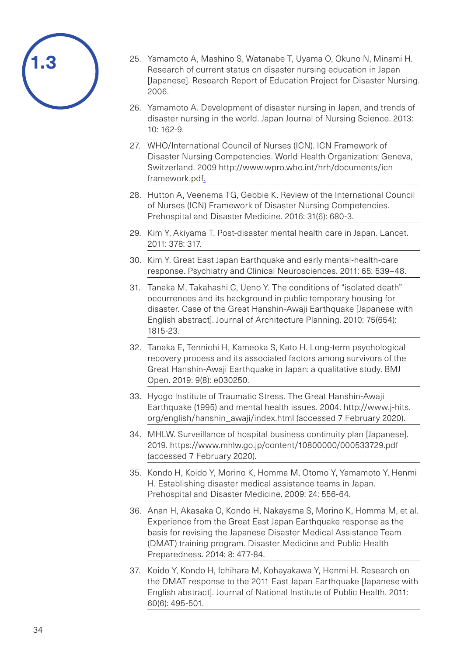| /1.3 |  |
|------|--|
|      |  |

- 25. Yamamoto A, Mashino S, Watanabe T, Uyama O, Okuno N, Minami H. Research of current status on disaster nursing education in Japan [Japanese]. Research Report of Education Project for Disaster Nursing. 2006.
- 26. Yamamoto A. Development of disaster nursing in Japan, and trends of disaster nursing in the world. Japan Journal of Nursing Science. 2013: 10: 162-9.
- 27. WHO/International Council of Nurses (ICN). ICN Framework of Disaster Nursing Competencies. World Health Organization: Geneva, Switzerland. 2009 [http://www.wpro.who.int/hrh/documents/icn\\_](http://www.wpro.who.int/hrh/documents/icn_framework.pdf) [framework.pdf](http://www.wpro.who.int/hrh/documents/icn_framework.pdf).
- 28. Hutton A, Veenema TG, Gebbie K. Review of the International Council of Nurses (ICN) Framework of Disaster Nursing Competencies. Prehospital and Disaster Medicine. 2016: 31(6): 680-3.
- 29. Kim Y, Akiyama T. Post-disaster mental health care in Japan. Lancet. 2011: 378: 317.
- 30. Kim Y. Great East Japan Earthquake and early mental-health-care response. Psychiatry and Clinical Neurosciences. 2011: 65: 539–48.
- 31. Tanaka M, Takahashi C, Ueno Y. The conditions of "isolated death" occurrences and its background in public temporary housing for disaster. Case of the Great Hanshin-Awaji Earthquake [Japanese with English abstract]. Journal of Architecture Planning. 2010: 75(654): 1815-23.
- 32. Tanaka E, Tennichi H, Kameoka S, Kato H. Long-term psychological recovery process and its associated factors among survivors of the Great Hanshin-Awaji Earthquake in Japan: a qualitative study. BMJ Open. 2019: 9(8): e030250.
- 33. Hyogo Institute of Traumatic Stress. The Great Hanshin-Awaji Earthquake (1995) and mental health issues. 2004. [http://www.j-hits.](http://www.j-hits.org/english/hanshin_awaji/index.html) [org/english/hanshin\\_awaji/index.html](http://www.j-hits.org/english/hanshin_awaji/index.html) (accessed 7 February 2020).
- 34. MHLW. Surveillance of hospital business continuity plan [Japanese]. 2019. <https://www.mhlw.go.jp/content/10800000/000533729.pdf> (accessed 7 February 2020).
- 35. Kondo H, Koido Y, Morino K, Homma M, Otomo Y, Yamamoto Y, Henmi H. Establishing disaster medical assistance teams in Japan. Prehospital and Disaster Medicine. 2009: 24: 556-64.
- 36. Anan H, Akasaka O, Kondo H, Nakayama S, Morino K, Homma M, et al. Experience from the Great East Japan Earthquake response as the basis for revising the Japanese Disaster Medical Assistance Team (DMAT) training program. Disaster Medicine and Public Health Preparedness. 2014: 8: 477-84.
- 37. Koido Y, Kondo H, Ichihara M, Kohayakawa Y, Henmi H. Research on the DMAT response to the 2011 East Japan Earthquake [Japanese with English abstract]. Journal of National Institute of Public Health. 2011: 60(6): 495-501.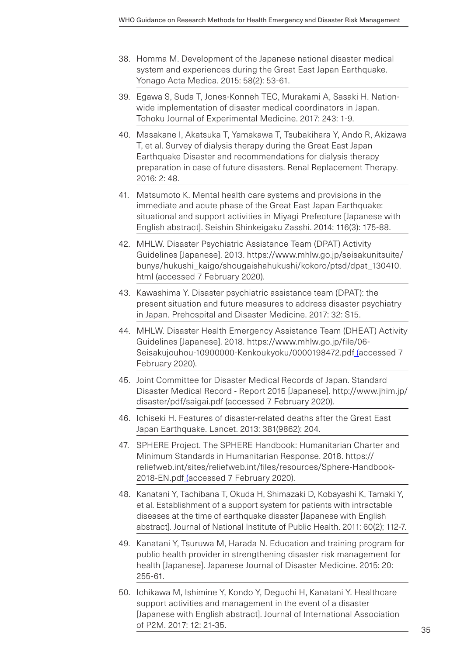- 38. Homma M. Development of the Japanese national disaster medical system and experiences during the Great East Japan Earthquake. Yonago Acta Medica. 2015: 58(2): 53-61.
- 39. Egawa S, Suda T, Jones-Konneh TEC, Murakami A, Sasaki H. Nationwide implementation of disaster medical coordinators in Japan. Tohoku Journal of Experimental Medicine. 2017: 243: 1-9.
- 40. Masakane I, Akatsuka T, Yamakawa T, Tsubakihara Y, Ando R, Akizawa T, et al. Survey of dialysis therapy during the Great East Japan Earthquake Disaster and recommendations for dialysis therapy preparation in case of future disasters. Renal Replacement Therapy. 2016: 2: 48.
- 41. Matsumoto K. Mental health care systems and provisions in the immediate and acute phase of the Great East Japan Earthquake: situational and support activities in Miyagi Prefecture [Japanese with English abstract]. Seishin Shinkeigaku Zasshi. 2014: 116(3): 175-88.
- 42. MHLW. Disaster Psychiatric Assistance Team (DPAT) Activity Guidelines [Japanese]. 2013. [https://www.mhlw.go.jp/seisakunitsuite/](https://www.mhlw.go.jp/seisakunitsuite/bunya/hukushi_kaigo/shougaishahukushi/kokoro/ptsd/dpat_130410.html) [bunya/hukushi\\_kaigo/shougaishahukushi/kokoro/ptsd/dpat\\_130410.](https://www.mhlw.go.jp/seisakunitsuite/bunya/hukushi_kaigo/shougaishahukushi/kokoro/ptsd/dpat_130410.html) [html](https://www.mhlw.go.jp/seisakunitsuite/bunya/hukushi_kaigo/shougaishahukushi/kokoro/ptsd/dpat_130410.html) (accessed 7 February 2020).
- 43. Kawashima Y. Disaster psychiatric assistance team (DPAT): the present situation and future measures to address disaster psychiatry in Japan. Prehospital and Disaster Medicine. 2017: 32: S15.
- 44. MHLW. Disaster Health Emergency Assistance Team (DHEAT) Activity Guidelines [Japanese]. 2018. [https://www.mhlw.go.jp/file/06-](https://www.mhlw.go.jp/file/06-Seisakujouhou-10900000-Kenkoukyoku/0000198472.pdf) [Seisakujouhou-10900000-Kenkoukyoku/0000198472.pdf](https://www.mhlw.go.jp/file/06-Seisakujouhou-10900000-Kenkoukyoku/0000198472.pdf) (accessed 7 February 2020).
- 45. Joint Committee for Disaster Medical Records of Japan. Standard Disaster Medical Record - Report 2015 [Japanese]. [http://www.jhim.jp/](http://www.jhim.jp/disaster/pdf/saigai.pdf) [disaster/pdf/saigai.pdf](http://www.jhim.jp/disaster/pdf/saigai.pdf) (accessed 7 February 2020).
- 46. Ichiseki H. Features of disaster-related deaths after the Great East Japan Earthquake. Lancet. 2013: 381(9862): 204.
- 47. SPHERE Project. The SPHERE Handbook: Humanitarian Charter and Minimum Standards in Humanitarian Response. 2018. [https://](https://reliefweb.int/sites/reliefweb.int/files/resources/Sphere-Handbook-2018-EN.pdf) [reliefweb.int/sites/reliefweb.int/files/resources/Sphere-Handbook-](https://reliefweb.int/sites/reliefweb.int/files/resources/Sphere-Handbook-2018-EN.pdf)[2018-EN.pdf](https://reliefweb.int/sites/reliefweb.int/files/resources/Sphere-Handbook-2018-EN.pdf) (accessed 7 February 2020).
- 48. Kanatani Y, Tachibana T, Okuda H, Shimazaki D, Kobayashi K, Tamaki Y, et al. Establishment of a support system for patients with intractable diseases at the time of earthquake disaster [Japanese with English abstract]. Journal of National Institute of Public Health. 2011: 60(2); 112-7.
- 49. Kanatani Y, Tsuruwa M, Harada N. Education and training program for public health provider in strengthening disaster risk management for health [Japanese]. Japanese Journal of Disaster Medicine. 2015: 20: 255-61.
- 50. Ichikawa M, Ishimine Y, Kondo Y, Deguchi H, Kanatani Y. Healthcare support activities and management in the event of a disaster [Japanese with English abstract]. Journal of International Association of P2M. 2017: 12: 21-35.